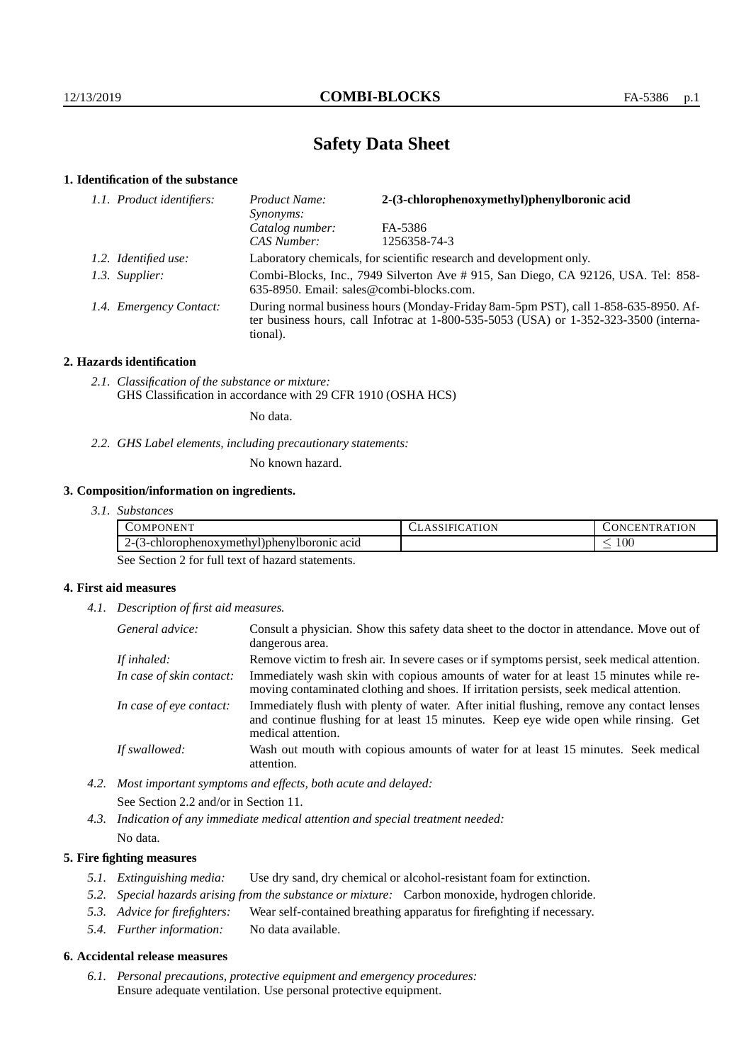# **Safety Data Sheet**

## **1. Identification of the substance**

| 1.1. Product identifiers: | 2-(3-chlorophenoxymethyl)phenylboronic acid<br>Product Name:<br>Synonyms:                                                                                                               |              |  |
|---------------------------|-----------------------------------------------------------------------------------------------------------------------------------------------------------------------------------------|--------------|--|
|                           | Catalog number:                                                                                                                                                                         | FA-5386      |  |
|                           | CAS Number:                                                                                                                                                                             | 1256358-74-3 |  |
| 1.2. Identified use:      | Laboratory chemicals, for scientific research and development only.                                                                                                                     |              |  |
| 1.3. Supplier:            | Combi-Blocks, Inc., 7949 Silverton Ave #915, San Diego, CA 92126, USA. Tel: 858-<br>635-8950. Email: sales@combi-blocks.com.                                                            |              |  |
| 1.4. Emergency Contact:   | During normal business hours (Monday-Friday 8am-5pm PST), call 1-858-635-8950. Af-<br>ter business hours, call Infotrac at 1-800-535-5053 (USA) or 1-352-323-3500 (interna-<br>tional). |              |  |

## **2. Hazards identification**

*2.1. Classification of the substance or mixture:* GHS Classification in accordance with 29 CFR 1910 (OSHA HCS)

No data.

*2.2. GHS Label elements, including precautionary statements:*

No known hazard.

## **3. Composition/information on ingredients.**

*3.1. Substances*

| -<br><b>ATM</b><br>-OMPC<br>. ONEN "<br>the contract of the contract of the contract of | חו | `TION<br>. E N<br>1N I<br>тк. |
|-----------------------------------------------------------------------------------------|----|-------------------------------|
| <br>vlboronic acid<br>3-chlorophenoxymethyl)pheny<br>.                                  |    | 100<br>_                      |

See Section 2 for full text of hazard statements.

## **4. First aid measures**

*4.1. Description of first aid measures.*

| General advice:          | Consult a physician. Show this safety data sheet to the doctor in attendance. Move out of<br>dangerous area.                                                                                            |
|--------------------------|---------------------------------------------------------------------------------------------------------------------------------------------------------------------------------------------------------|
| If inhaled:              | Remove victim to fresh air. In severe cases or if symptoms persist, seek medical attention.                                                                                                             |
| In case of skin contact: | Immediately wash skin with copious amounts of water for at least 15 minutes while re-<br>moving contaminated clothing and shoes. If irritation persists, seek medical attention.                        |
| In case of eye contact:  | Immediately flush with plenty of water. After initial flushing, remove any contact lenses<br>and continue flushing for at least 15 minutes. Keep eye wide open while rinsing. Get<br>medical attention. |
| If swallowed:            | Wash out mouth with copious amounts of water for at least 15 minutes. Seek medical<br>attention.                                                                                                        |

*4.2. Most important symptoms and effects, both acute and delayed:* See Section 2.2 and/or in Section 11.

*4.3. Indication of any immediate medical attention and special treatment needed:* No data.

## **5. Fire fighting measures**

- *5.1. Extinguishing media:* Use dry sand, dry chemical or alcohol-resistant foam for extinction.
- *5.2. Special hazards arising from the substance or mixture:* Carbon monoxide, hydrogen chloride.
- *5.3. Advice for firefighters:* Wear self-contained breathing apparatus for firefighting if necessary.
- *5.4. Further information:* No data available.

#### **6. Accidental release measures**

*6.1. Personal precautions, protective equipment and emergency procedures:* Ensure adequate ventilation. Use personal protective equipment.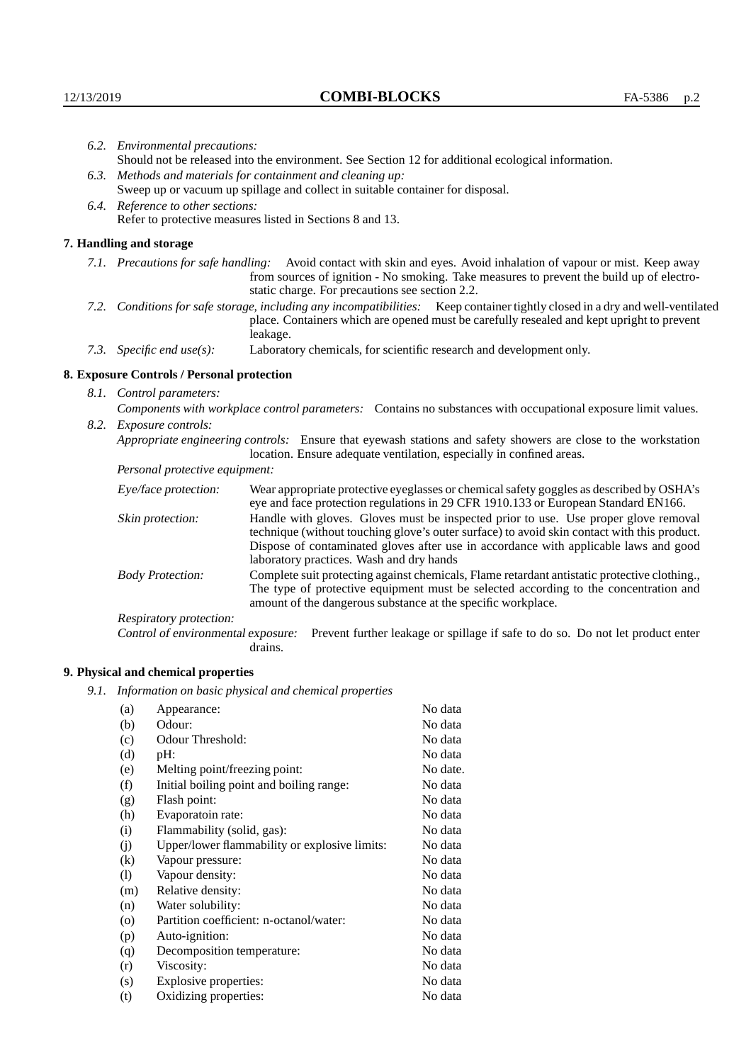|      | 6.2. Environmental precautions:                                                                                                                                                                                                                                    |                                                                                                                                                                                                                                                                                                                        |  |  |
|------|--------------------------------------------------------------------------------------------------------------------------------------------------------------------------------------------------------------------------------------------------------------------|------------------------------------------------------------------------------------------------------------------------------------------------------------------------------------------------------------------------------------------------------------------------------------------------------------------------|--|--|
|      | Should not be released into the environment. See Section 12 for additional ecological information.                                                                                                                                                                 |                                                                                                                                                                                                                                                                                                                        |  |  |
| 6.3. | Methods and materials for containment and cleaning up:                                                                                                                                                                                                             |                                                                                                                                                                                                                                                                                                                        |  |  |
|      | Sweep up or vacuum up spillage and collect in suitable container for disposal.                                                                                                                                                                                     |                                                                                                                                                                                                                                                                                                                        |  |  |
|      | 6.4. Reference to other sections:                                                                                                                                                                                                                                  |                                                                                                                                                                                                                                                                                                                        |  |  |
|      | Refer to protective measures listed in Sections 8 and 13.                                                                                                                                                                                                          |                                                                                                                                                                                                                                                                                                                        |  |  |
|      | 7. Handling and storage                                                                                                                                                                                                                                            |                                                                                                                                                                                                                                                                                                                        |  |  |
|      | 7.1. Precautions for safe handling: Avoid contact with skin and eyes. Avoid inhalation of vapour or mist. Keep away<br>from sources of ignition - No smoking. Take measures to prevent the build up of electro-<br>static charge. For precautions see section 2.2. |                                                                                                                                                                                                                                                                                                                        |  |  |
|      |                                                                                                                                                                                                                                                                    | 7.2. Conditions for safe storage, including any incompatibilities: Keep container tightly closed in a dry and well-ventilated<br>place. Containers which are opened must be carefully resealed and kept upright to prevent<br>leakage.                                                                                 |  |  |
|      | 7.3. Specific end use(s):                                                                                                                                                                                                                                          | Laboratory chemicals, for scientific research and development only.                                                                                                                                                                                                                                                    |  |  |
|      | 8. Exposure Controls / Personal protection                                                                                                                                                                                                                         |                                                                                                                                                                                                                                                                                                                        |  |  |
|      | 8.1. Control parameters:                                                                                                                                                                                                                                           |                                                                                                                                                                                                                                                                                                                        |  |  |
|      | Components with workplace control parameters: Contains no substances with occupational exposure limit values.                                                                                                                                                      |                                                                                                                                                                                                                                                                                                                        |  |  |
|      | 8.2. Exposure controls:                                                                                                                                                                                                                                            |                                                                                                                                                                                                                                                                                                                        |  |  |
|      |                                                                                                                                                                                                                                                                    | Appropriate engineering controls: Ensure that eyewash stations and safety showers are close to the workstation<br>location. Ensure adequate ventilation, especially in confined areas.                                                                                                                                 |  |  |
|      | Personal protective equipment:                                                                                                                                                                                                                                     |                                                                                                                                                                                                                                                                                                                        |  |  |
|      | Eye/face protection:                                                                                                                                                                                                                                               | Wear appropriate protective eyeglasses or chemical safety goggles as described by OSHA's<br>eye and face protection regulations in 29 CFR 1910.133 or European Standard EN166.                                                                                                                                         |  |  |
|      | Skin protection:                                                                                                                                                                                                                                                   | Handle with gloves. Gloves must be inspected prior to use. Use proper glove removal<br>technique (without touching glove's outer surface) to avoid skin contact with this product.<br>Dispose of contaminated gloves after use in accordance with applicable laws and good<br>laboratory practices. Wash and dry hands |  |  |
|      | <b>Body Protection:</b>                                                                                                                                                                                                                                            | Complete suit protecting against chemicals, Flame retardant antistatic protective clothing.,<br>The type of protective equipment must be selected according to the concentration and<br>amount of the dangerous substance at the specific workplace.                                                                   |  |  |
|      | Departementation                                                                                                                                                                                                                                                   |                                                                                                                                                                                                                                                                                                                        |  |  |

Respiratory protection:

Control of environmental exposure: Prevent further leakage or spillage if safe to do so. Do not let product enter drains.

# **9. Physical and chemical properties**

*9.1. Information on basic physical and chemical properties*

| (a)                        | Appearance:                                   | No data  |
|----------------------------|-----------------------------------------------|----------|
| (b)                        | Odour:                                        | No data  |
| (c)                        | Odour Threshold:                              | No data  |
| (d)                        | $pH$ :                                        | No data  |
| (e)                        | Melting point/freezing point:                 | No date. |
| (f)                        | Initial boiling point and boiling range:      | No data  |
| (g)                        | Flash point:                                  | No data  |
| (h)                        | Evaporatoin rate:                             | No data  |
| (i)                        | Flammability (solid, gas):                    | No data  |
| (i)                        | Upper/lower flammability or explosive limits: | No data  |
| $\rm(k)$                   | Vapour pressure:                              | No data  |
| $\left( \mathrm{l}\right)$ | Vapour density:                               | No data  |
| (m)                        | Relative density:                             | No data  |
| (n)                        | Water solubility:                             | No data  |
| $\rm (o)$                  | Partition coefficient: n-octanol/water:       | No data  |
| (p)                        | Auto-ignition:                                | No data  |
| (q)                        | Decomposition temperature:                    | No data  |
| (r)                        | Viscosity:                                    | No data  |
| (s)                        | Explosive properties:                         | No data  |
| (t)                        | Oxidizing properties:                         | No data  |